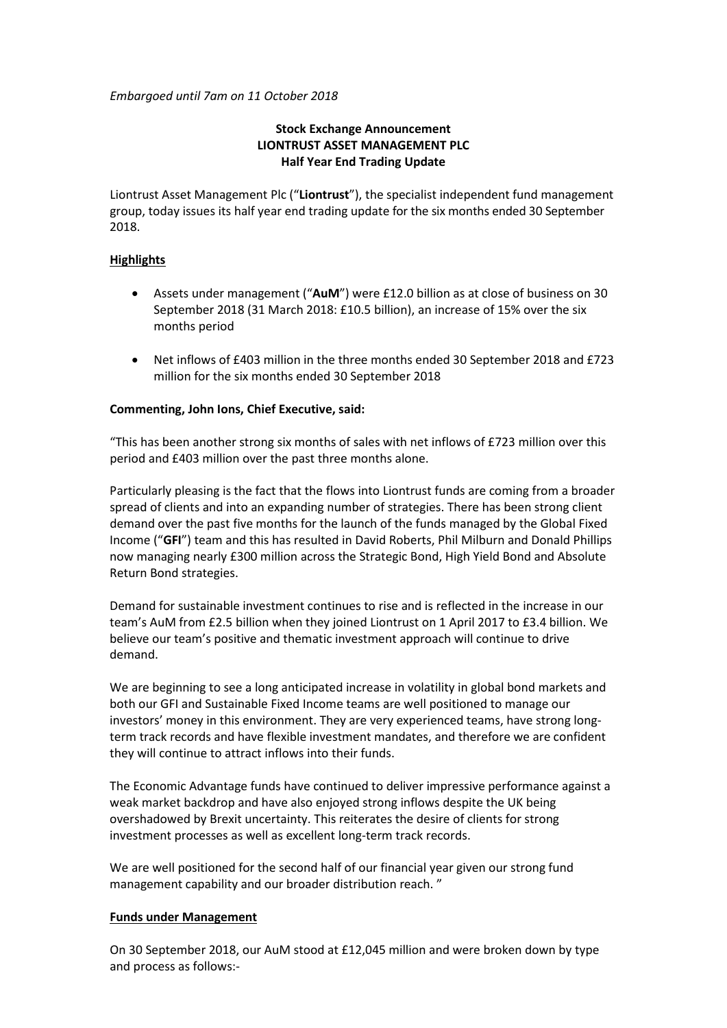*Embargoed until 7am on 11 October 2018*

# **Stock Exchange Announcement LIONTRUST ASSET MANAGEMENT PLC Half Year End Trading Update**

Liontrust Asset Management Plc ("**Liontrust**"), the specialist independent fund management group, today issues its half year end trading update for the six months ended 30 September 2018.

# **Highlights**

- Assets under management ("**AuM**") were £12.0 billion as at close of business on 30 September 2018 (31 March 2018: £10.5 billion), an increase of 15% over the six months period
- Net inflows of £403 million in the three months ended 30 September 2018 and £723 million for the six months ended 30 September 2018

# **Commenting, John Ions, Chief Executive, said:**

"This has been another strong six months of sales with net inflows of £723 million over this period and £403 million over the past three months alone.

Particularly pleasing is the fact that the flows into Liontrust funds are coming from a broader spread of clients and into an expanding number of strategies. There has been strong client demand over the past five months for the launch of the funds managed by the Global Fixed Income ("**GFI**") team and this has resulted in David Roberts, Phil Milburn and Donald Phillips now managing nearly £300 million across the Strategic Bond, High Yield Bond and Absolute Return Bond strategies.

Demand for sustainable investment continues to rise and is reflected in the increase in our team's AuM from £2.5 billion when they joined Liontrust on 1 April 2017 to £3.4 billion. We believe our team's positive and thematic investment approach will continue to drive demand.

We are beginning to see a long anticipated increase in volatility in global bond markets and both our GFI and Sustainable Fixed Income teams are well positioned to manage our investors' money in this environment. They are very experienced teams, have strong longterm track records and have flexible investment mandates, and therefore we are confident they will continue to attract inflows into their funds.

The Economic Advantage funds have continued to deliver impressive performance against a weak market backdrop and have also enjoyed strong inflows despite the UK being overshadowed by Brexit uncertainty. This reiterates the desire of clients for strong investment processes as well as excellent long-term track records.

We are well positioned for the second half of our financial year given our strong fund management capability and our broader distribution reach. "

## **Funds under Management**

On 30 September 2018, our AuM stood at £12,045 million and were broken down by type and process as follows:-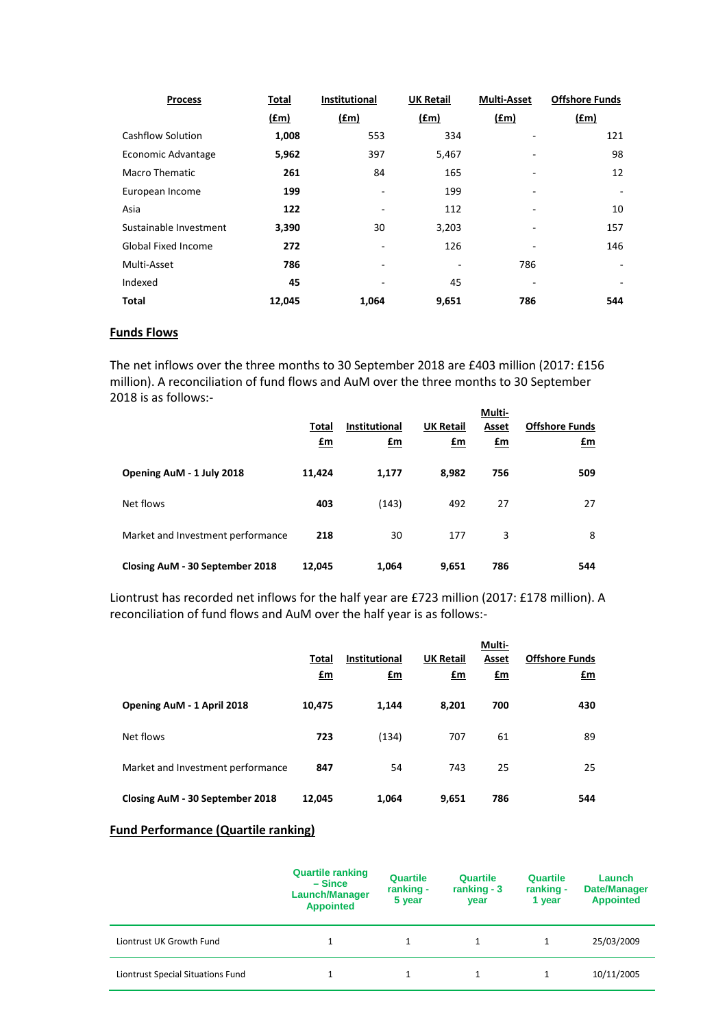| <b>Process</b>             | Total  | Institutional | <b>UK Retail</b> | <b>Multi-Asset</b> | <b>Offshore Funds</b> |
|----------------------------|--------|---------------|------------------|--------------------|-----------------------|
|                            | (£m)   | (fm)          | f(m)             | (f.m)              | f(m)                  |
| <b>Cashflow Solution</b>   | 1,008  | 553           | 334              |                    | 121                   |
| Economic Advantage         | 5,962  | 397           | 5,467            |                    | 98                    |
| Macro Thematic             | 261    | 84            | 165              |                    | 12                    |
| European Income            | 199    |               | 199              |                    |                       |
| Asia                       | 122    |               | 112              | ۰                  | 10                    |
| Sustainable Investment     | 3,390  | 30            | 3,203            |                    | 157                   |
| <b>Global Fixed Income</b> | 272    |               | 126              |                    | 146                   |
| Multi-Asset                | 786    | ۰             |                  | 786                |                       |
| Indexed                    | 45     |               | 45               |                    |                       |
| Total                      | 12,045 | 1,064         | 9,651            | 786                | 544                   |

## **Funds Flows**

The net inflows over the three months to 30 September 2018 are £403 million (2017: £156 million). A reconciliation of fund flows and AuM over the three months to 30 September 2018 is as follows:-

|                                   | Total<br>£m | <b>Institutional</b><br><u>£m</u> | <b>UK Retail</b><br><u>£m</u> | Multi-<br>Asset<br>$\mathbf{f}$ m | <b>Offshore Funds</b><br>£m |
|-----------------------------------|-------------|-----------------------------------|-------------------------------|-----------------------------------|-----------------------------|
| Opening AuM - 1 July 2018         | 11,424      | 1,177                             | 8,982                         | 756                               | 509                         |
| Net flows                         | 403         | (143)                             | 492                           | 27                                | 27                          |
| Market and Investment performance | 218         | 30                                | 177                           | 3                                 | 8                           |
| Closing AuM - 30 September 2018   | 12,045      | 1,064                             | 9,651                         | 786                               | 544                         |

Liontrust has recorded net inflows for the half year are £723 million (2017: £178 million). A reconciliation of fund flows and AuM over the half year is as follows:-

|                                   | Total<br>£m | <b>Institutional</b><br>£m | <b>UK Retail</b><br>£m | Multi-<br>Asset<br>£m | <b>Offshore Funds</b><br>£m |
|-----------------------------------|-------------|----------------------------|------------------------|-----------------------|-----------------------------|
| Opening AuM - 1 April 2018        | 10,475      | 1,144                      | 8,201                  | 700                   | 430                         |
| Net flows                         | 723         | (134)                      | 707                    | 61                    | 89                          |
| Market and Investment performance | 847         | 54                         | 743                    | 25                    | 25                          |
| Closing AuM - 30 September 2018   | 12,045      | 1,064                      | 9,651                  | 786                   | 544                         |

# **Fund Performance (Quartile ranking)**

|                                   | <b>Quartile ranking</b><br>– Since<br><b>Launch/Manager</b><br><b>Appointed</b> | <b>Quartile</b><br>ranking -<br>5 year | Quartile<br>ranking $-3$<br>year | Quartile<br>ranking -<br>1 year | Launch<br><b>Date/Manager</b><br><b>Appointed</b> |
|-----------------------------------|---------------------------------------------------------------------------------|----------------------------------------|----------------------------------|---------------------------------|---------------------------------------------------|
| Liontrust UK Growth Fund          |                                                                                 |                                        |                                  |                                 | 25/03/2009                                        |
| Liontrust Special Situations Fund |                                                                                 |                                        |                                  |                                 | 10/11/2005                                        |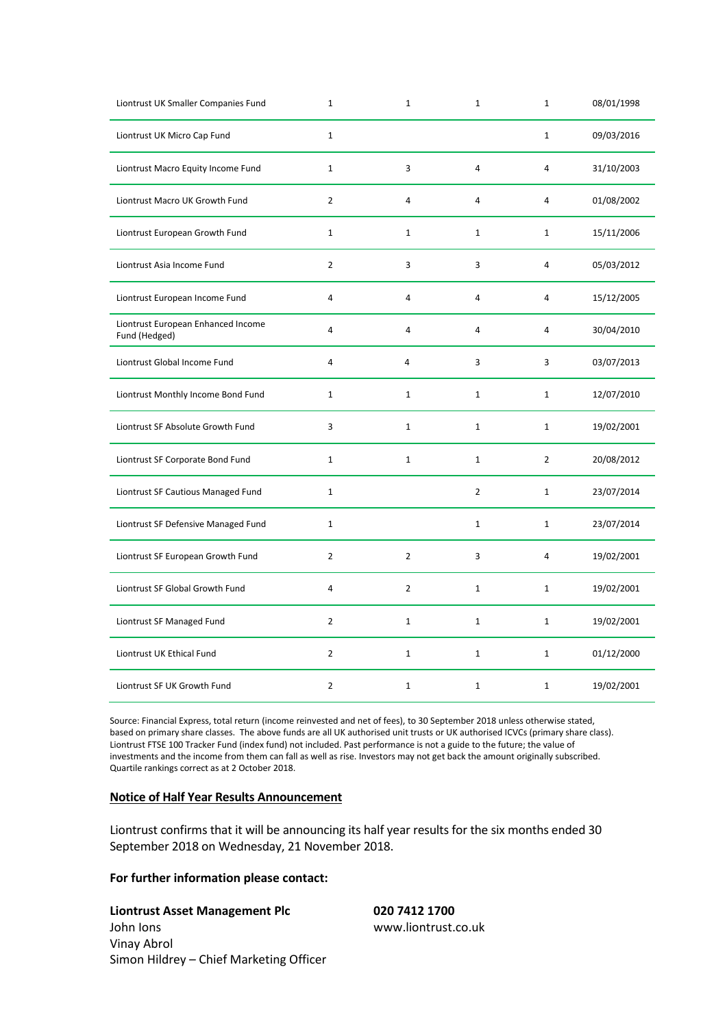| Liontrust UK Smaller Companies Fund                 | $\mathbf{1}$   | $\mathbf{1}$   | $\mathbf 1$    | $1\,$          | 08/01/1998 |
|-----------------------------------------------------|----------------|----------------|----------------|----------------|------------|
| Liontrust UK Micro Cap Fund                         | $\mathbf{1}$   |                |                | $\mathbf{1}$   | 09/03/2016 |
| Liontrust Macro Equity Income Fund                  | $\mathbf{1}$   | 3              | $\overline{4}$ | 4              | 31/10/2003 |
| Liontrust Macro UK Growth Fund                      | $\overline{2}$ | 4              | $\overline{4}$ | $\overline{4}$ | 01/08/2002 |
| Liontrust European Growth Fund                      | $\mathbf{1}$   | $\mathbf{1}$   | $\mathbf{1}$   | $\mathbf{1}$   | 15/11/2006 |
| Liontrust Asia Income Fund                          | $\overline{2}$ | 3              | 3              | 4              | 05/03/2012 |
| Liontrust European Income Fund                      | 4              | 4              | 4              | 4              | 15/12/2005 |
| Liontrust European Enhanced Income<br>Fund (Hedged) | $\overline{4}$ | 4              | 4              | 4              | 30/04/2010 |
| Liontrust Global Income Fund                        | 4              | $\overline{4}$ | 3              | 3              | 03/07/2013 |
| Liontrust Monthly Income Bond Fund                  | $\mathbf{1}$   | $\mathbf{1}$   | $\mathbf 1$    | $\mathbf{1}$   | 12/07/2010 |
| Liontrust SF Absolute Growth Fund                   | 3              | $\mathbf 1$    | $\mathbf{1}$   | $\mathbf{1}$   | 19/02/2001 |
| Liontrust SF Corporate Bond Fund                    | $\mathbf{1}$   | $\mathbf{1}$   | $\mathbf{1}$   | $\overline{2}$ | 20/08/2012 |
| Liontrust SF Cautious Managed Fund                  | $\mathbf{1}$   |                | $\overline{2}$ | $\mathbf{1}$   | 23/07/2014 |
| Liontrust SF Defensive Managed Fund                 | $\mathbf{1}$   |                | $\mathbf{1}$   | $\mathbf{1}$   | 23/07/2014 |
| Liontrust SF European Growth Fund                   | $\overline{2}$ | $\overline{2}$ | 3              | $\overline{4}$ | 19/02/2001 |
| Liontrust SF Global Growth Fund                     | 4              | $\overline{2}$ | $\mathbf{1}$   | $1\,$          | 19/02/2001 |
| Liontrust SF Managed Fund                           | $\overline{2}$ | $1\,$          | $\mathbf{1}$   | $\mathbf{1}$   | 19/02/2001 |
| Liontrust UK Ethical Fund                           | $\overline{2}$ | $\mathbf{1}$   | $\mathbf{1}$   | $\mathbf{1}$   | 01/12/2000 |
| Liontrust SF UK Growth Fund                         | $\overline{2}$ | $\mathbf{1}$   | $\mathbf{1}$   | 1              | 19/02/2001 |

Source: Financial Express, total return (income reinvested and net of fees), to 30 September 2018 unless otherwise stated, based on primary share classes. The above funds are all UK authorised unit trusts or UK authorised ICVCs (primary share class). Liontrust FTSE 100 Tracker Fund (index fund) not included. Past performance is not a guide to the future; the value of investments and the income from them can fall as well as rise. Investors may not get back the amount originally subscribed. Quartile rankings correct as at 2 October 2018.

#### **Notice of Half Year Results Announcement**

Liontrust confirms that it will be announcing its half year results for the six months ended 30 September 2018 on Wednesday, 21 November 2018.

## **For further information please contact:**

**Liontrust Asset Management Plc 020 7412 1700** 

John Ions www.liontrust.co.uk Vinay Abrol Simon Hildrey – Chief Marketing Officer